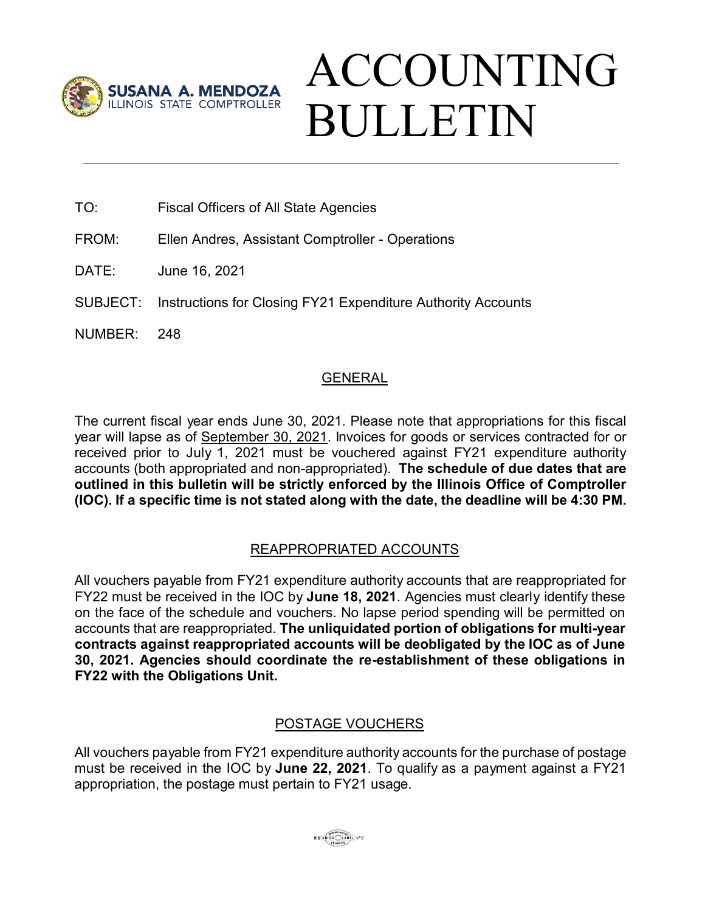

# ACCOUNTING BULLETIN

- TO: Fiscal Officers of All State Agencies
- FROM: Ellen Andres, Assistant Comptroller Operations
- DATE: June 16, 2021
- SUBJECT: Instructions for Closing FY21 Expenditure Authority Accounts
- NUMBER: 248

## GENERAL

The current fiscal year ends June 30, 2021. Please note that appropriations for this fiscal year will lapse as of September 30, 2021. Invoices for goods or services contracted for or received prior to July 1, 2021 must be vouchered against FY21 expenditure authority accounts (both appropriated and non-appropriated). **The schedule of due dates that are outlined in this bulletin will be strictly enforced by the Illinois Office of Comptroller (IOC). If a specific time is not stated along with the date, the deadline will be 4:30 PM.** 

## REAPPROPRIATED ACCOUNTS

All vouchers payable from FY21 expenditure authority accounts that are reappropriated for FY22 must be received in the IOC by **June 18, 2021**. Agencies must clearly identify these on the face of the schedule and vouchers. No lapse period spending will be permitted on accounts that are reappropriated. **The unliquidated portion of obligations for multi-year contracts against reappropriated accounts will be deobligated by the IOC as of June 30, 2021. Agencies should coordinate the re-establishment of these obligations in FY22 with the Obligations Unit.**

## POSTAGE VOUCHERS

All vouchers payable from FY21 expenditure authority accounts for the purchase of postage must be received in the IOC by **June 22, 2021**. To qualify as a payment against a FY21 appropriation, the postage must pertain to FY21 usage.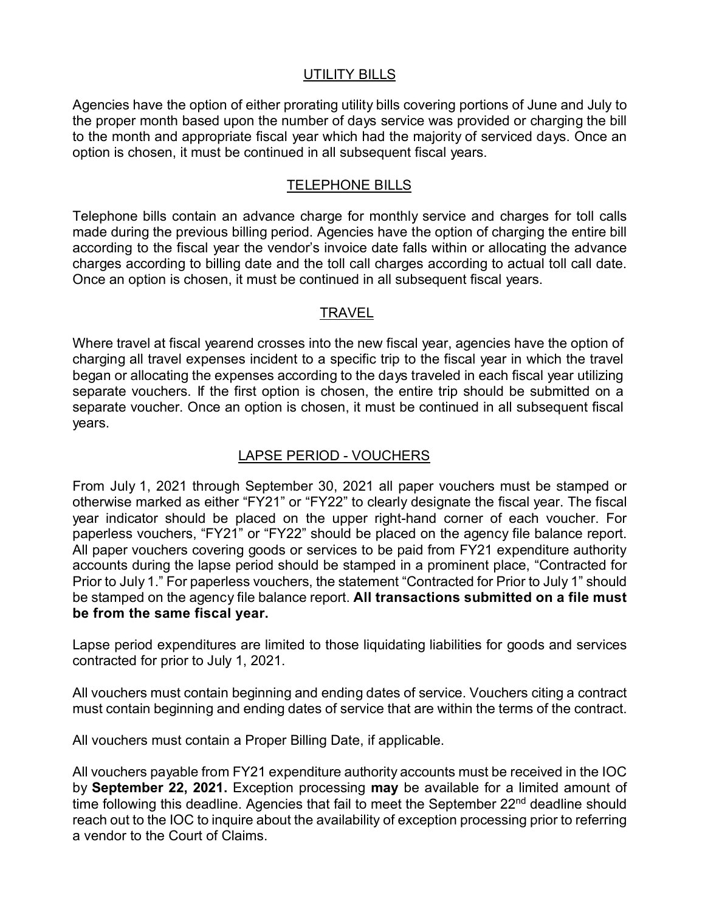#### UTILITY BILLS

Agencies have the option of either prorating utility bills covering portions of June and July to the proper month based upon the number of days service was provided or charging the bill to the month and appropriate fiscal year which had the majority of serviced days. Once an option is chosen, it must be continued in all subsequent fiscal years.

#### TELEPHONE BILLS

Telephone bills contain an advance charge for monthly service and charges for toll calls made during the previous billing period. Agencies have the option of charging the entire bill according to the fiscal year the vendor's invoice date falls within or allocating the advance charges according to billing date and the toll call charges according to actual toll call date. Once an option is chosen, it must be continued in all subsequent fiscal years.

## TRAVEL

Where travel at fiscal yearend crosses into the new fiscal year, agencies have the option of charging all travel expenses incident to a specific trip to the fiscal year in which the travel began or allocating the expenses according to the days traveled in each fiscal year utilizing separate vouchers. If the first option is chosen, the entire trip should be submitted on a separate voucher. Once an option is chosen, it must be continued in all subsequent fiscal years.

## LAPSE PERIOD - VOUCHERS

From July 1, 2021 through September 30, 2021 all paper vouchers must be stamped or otherwise marked as either "FY21" or "FY22" to clearly designate the fiscal year. The fiscal year indicator should be placed on the upper right-hand corner of each voucher. For paperless vouchers, "FY21" or "FY22" should be placed on the agency file balance report. All paper vouchers covering goods or services to be paid from FY21 expenditure authority accounts during the lapse period should be stamped in a prominent place, "Contracted for Prior to July 1." For paperless vouchers, the statement "Contracted for Prior to July 1" should be stamped on the agency file balance report. **All transactions submitted on a file must be from the same fiscal year.** 

Lapse period expenditures are limited to those liquidating liabilities for goods and services contracted for prior to July 1, 2021.

All vouchers must contain beginning and ending dates of service. Vouchers citing a contract must contain beginning and ending dates of service that are within the terms of the contract.

All vouchers must contain a Proper Billing Date, if applicable.

All vouchers payable from FY21 expenditure authority accounts must be received in the IOC by **September 22, 2021.** Exception processing **may** be available for a limited amount of time following this deadline. Agencies that fail to meet the September 22<sup>nd</sup> deadline should reach out to the IOC to inquire about the availability of exception processing prior to referring a vendor to the Court of Claims.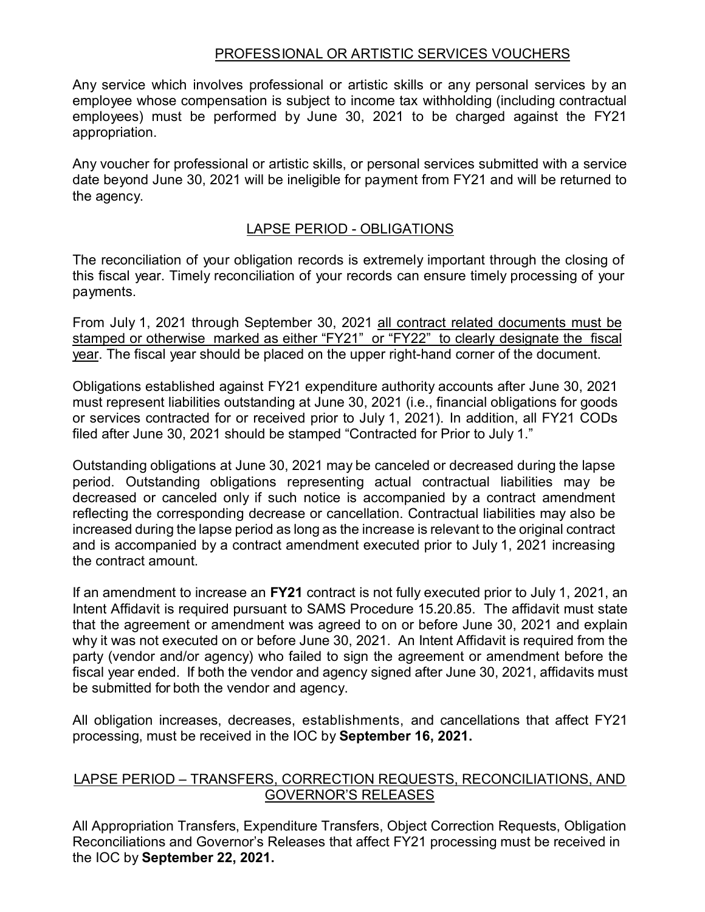#### PROFESSIONAL OR ARTISTIC SERVICES VOUCHERS

Any service which involves professional or artistic skills or any personal services by an employee whose compensation is subject to income tax withholding (including contractual employees) must be performed by June 30, 2021 to be charged against the FY21 appropriation.

Any voucher for professional or artistic skills, or personal services submitted with a service date beyond June 30, 2021 will be ineligible for payment from FY21 and will be returned to the agency.

#### LAPSE PERIOD - OBLIGATIONS

The reconciliation of your obligation records is extremely important through the closing of this fiscal year. Timely reconciliation of your records can ensure timely processing of your payments.

From July 1, 2021 through September 30, 2021 all contract related documents must be stamped or otherwise marked as either "FY21" or "FY22" to clearly designate the fiscal year. The fiscal year should be placed on the upper right-hand corner of the document.

Obligations established against FY21 expenditure authority accounts after June 30, 2021 must represent liabilities outstanding at June 30, 2021 (i.e., financial obligations for goods or services contracted for or received prior to July 1, 2021). In addition, all FY21 CODs filed after June 30, 2021 should be stamped "Contracted for Prior to July 1."

Outstanding obligations at June 30, 2021 may be canceled or decreased during the lapse period. Outstanding obligations representing actual contractual liabilities may be decreased or canceled only if such notice is accompanied by a contract amendment reflecting the corresponding decrease or cancellation. Contractual liabilities may also be increased during the lapse period as long as the increase is relevant to the original contract and is accompanied by a contract amendment executed prior to July 1, 2021 increasing the contract amount.

If an amendment to increase an **FY21** contract is not fully executed prior to July 1, 2021, an Intent Affidavit is required pursuant to SAMS Procedure 15.20.85. The affidavit must state that the agreement or amendment was agreed to on or before June 30, 2021 and explain why it was not executed on or before June 30, 2021. An Intent Affidavit is required from the party (vendor and/or agency) who failed to sign the agreement or amendment before the fiscal year ended. If both the vendor and agency signed after June 30, 2021, affidavits must be submitted for both the vendor and agency.

All obligation increases, decreases, establishments, and cancellations that affect FY21 processing, must be received in the IOC by **September 16, 2021.**

#### LAPSE PERIOD – TRANSFERS, CORRECTION REQUESTS, RECONCILIATIONS, AND GOVERNOR'S RELEASES

All Appropriation Transfers, Expenditure Transfers, Object Correction Requests, Obligation Reconciliations and Governor's Releases that affect FY21 processing must be received in the IOC by **September 22, 2021.**